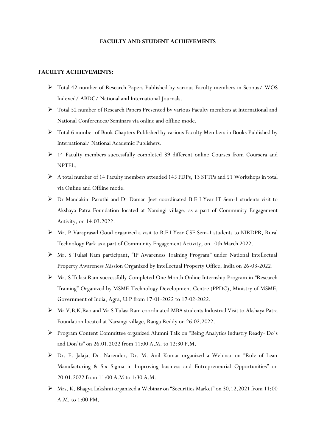## **FACULTY AND STUDENT ACHIEVEMENTS**

## **FACULTY ACHIEVEMENTS:**

- Total 42 number of Research Papers Published by various Faculty members in Scopus/ WOS Indexed/ ABDC/ National and International Journals.
- Total 52 number of Research Papers Presented by various Faculty members at International and National Conferences/Seminars via online and offline mode.
- Total 6 number of Book Chapters Published by various Faculty Members in Books Published by International/ National Academic Publishers.
- 14 Faculty members successfully completed 89 different online Courses from Coursera and NPTEL.
- $\triangleright$  A total number of 14 Faculty members attended 145 FDPs, 13 STTPs and 51 Workshops in total via Online and Offline mode.
- Dr Mandakini Paruthi and Dr Daman Jeet coordinated B.E I Year IT Sem-1 students visit to Akshaya Patra Foundation located at Narsingi village, as a part of Community Engagement Activity, on 14.03.2022.
- Mr. P.Varaprasad Goud organized a visit to B.E I Year CSE Sem-1 students to NIRDPR, Rural Technology Park as a part of Community Engagement Activity, on 10th March 2022.
- Mr. S Tulasi Ram participant, "IP Awareness Training Program" under National Intellectual Property Awareness Mission Organized by Intellectual Property Office, India on 26-03-2022.
- Mr. S Tulasi Ram successfully Completed One Month Online Internship Program in "Research Training" Organized by MSME-Technology Development Centre (PPDC), Ministry of MSME, Government of India, Agra, U.P from 17-01-2022 to 17-02-2022.
- Mr V.B.K.Rao and Mr S Tulasi Ram coordinated MBA students Industrial Visit to Akshaya Patra Foundation located at Narsingi village, Ranga Reddy on 26.02.2022.
- Program Content Committee organized Alumni Talk on "Being Analytics Industry Ready- Do's and Don'ts" on 26.01.2022 from 11:00 A.M. to 12:30 P.M.
- Dr. E. Jalaja, Dr. Narender, Dr. M. Anil Kumar organized a Webinar on "Role of Lean Manufacturing & Six Sigma in Improving business and Entrepreneurial Opportunities" on 20.01.2022 from 11:00 A.M to 1:30 A.M.
- Mrs. K. Bhagya Lakshmi organized a Webinar on "Securities Market" on 30.12.2021 from 11:00 A.M. to 1:00 PM.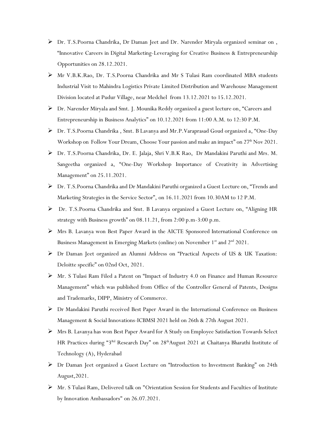- Dr. T.S.Poorna Chandrika, Dr Daman Jeet and Dr. Narender Miryala organized seminar on , "Innovative Careers in Digital Marketing-Leveraging for Creative Business & Entrepreneurship Opportunities on 28.12.2021.
- Mr V.B.K.Rao, Dr. T.S.Poorna Chandrika and Mr S Tulasi Ram coordinated MBA students Industrial Visit to Mahindra Logistics Private Limited Distribution and Warehouse Management Division located at Pudur Village, near Medchel from 13.12.2021 to 15.12.2021.
- Dr. Narender Miryala and Smt. J. Mounika Reddy organized a guest lecture on, "Careers and Entrepreneurship in Business Analytics" on 10.12.2021 from 11:00 A.M. to 12:30 P.M.
- Dr. T.S.Poorna Chandrika , Smt. B Lavanya and Mr.P.Varaprasad Goud organized a, "One-Day Workshop on Follow Your Dream, Choose Your passion and make an impact" on 27<sup>th</sup> Nov 2021.
- Dr. T.S.Poorna Chandrika, Dr. E. Jalaja, Shri V.B.K Rao, Dr Mandakini Paruthi and Mrs. M. Sangeetha organized a, "One-Day Workshop Importance of Creativity in Advertising Management" on 25.11.2021.
- Dr. T.S.Poorna Chandrika and Dr Mandakini Paruthi organized a Guest Lecture on, "Trends and Marketing Strategies in the Service Sector", on 16.11.2021 from 10.30AM to 12 P.M.
- Dr. T.S.Poorna Chandrika and Smt. B Lavanya organized a Guest Lecture on, "Aligning HR strategy with Business growth" on 08.11.21, from 2:00 p.m-3:00 p.m.
- Mrs B. Lavanya won Best Paper Award in the AICTE Sponsored International Conference on Business Management in Emerging Markets (online) on November 1<sup>st</sup> and 2<sup>nd</sup> 2021.
- Dr Daman Jeet organized an Alumni Address on "Practical Aspects of US & UK Taxation: Deloitte specific" on 02nd Oct, 2021.
- $\triangleright$  Mr. S Tulasi Ram Filed a Patent on "Impact of Industry 4.0 on Finance and Human Resource Management" which was published from Office of the Controller General of Patents, Designs and Trademarks, DIPP, Ministry of Commerce.
- Dr Mandakini Paruthi received Best Paper Award in the International Conference on Business Management & Social Innovations-ICBMSI 2021 held on 26th & 27th August 2021.
- Mrs B. Lavanya has won Best Paper Award for A Study on Employee Satisfaction Towards Select HR Practices during "3<sup>Rd</sup> Research Day" on 28<sup>th</sup>August 2021 at Chaitanya Bharathi Institute of Technology (A), Hyderabad
- Dr Daman Jeet organized a Guest Lecture on "Introduction to Investment Banking" on 24th August,2021.
- $\triangleright$  Mr. S Tulasi Ram, Delivered talk on "Orientation Session for Students and Faculties of Institute by Innovation Ambassadors" on 26.07.2021.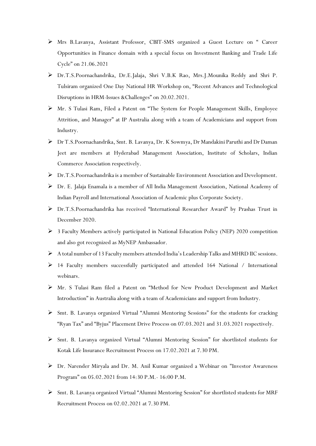- Mrs B.Lavanya, Assistant Professor, CBIT-SMS organized a Guest Lecture on " Career Opportunities in Finance domain with a special focus on Investment Banking and Trade Life Cycle" on 21.06.2021
- Dr.T.S.Poornachandrika, Dr.E.Jalaja, Shri V.B.K Rao, Mrs.J.Mounika Reddy and Shri P. Tulsiram organized One Day National HR Workshop on, "Recent Advances and Technological Disruptions in HRM-Issues &Challenges" on 20.02.2021.
- Mr. S Tulasi Ram, Filed a Patent on "The System for People Management Skills, Employee Attrition, and Manager" at IP Australia along with a team of Academicians and support from Industry.
- Dr T.S.Poornachandrika, Smt. B. Lavanya, Dr. K Sowmya, Dr Mandakini Paruthi and Dr Daman Jeet are members at Hyderabad Management Association, Institute of Scholars, Indian Commerce Association respectively.
- Dr.T.S.Poornachandrika is a member of Sustainable Environment Association and Development.
- Dr. E. Jalaja Enamala is a member of All India Management Association, National Academy of Indian Payroll and International Association of Academic plus Corporate Society.
- Dr.T.S.Poornachandrika has received "International Researcher Award" by Prashas Trust in December 2020.
- $\triangleright$  3 Faculty Members actively participated in National Education Policy (NEP) 2020 competition and also got recognized as MyNEP Ambassador.
- $\triangleright$  A total number of 13 Faculty members attended India's Leadership Talks and MHRD IIC sessions.
- 14 Faculty members successfully participated and attended 164 National / International webinars.
- Mr. S Tulasi Ram filed a Patent on "Method for New Product Development and Market Introduction" in Australia along with a team of Academicians and support from Industry.
- $\triangleright$  Smt. B. Lavanya organized Virtual "Alumni Mentoring Sessions" for the students for cracking "Ryan Tax" and "Byjus" Placement Drive Process on 07.03.2021 and 31.03.2021 respectively.
- Smt. B. Lavanya organized Virtual "Alumni Mentoring Session" for shortlisted students for Kotak Life Insurance Recruitment Process on 17.02.2021 at 7.30 PM.
- Dr. Narender Miryala and Dr. M. Anil Kumar organized a Webinar on "Investor Awareness Program" on 05.02.2021 from 14:30 P.M.- 16:00 P.M.
- $\triangleright$  Smt. B. Lavanya organized Virtual "Alumni Mentoring Session" for shortlisted students for MRF Recruitment Process on 02.02.2021 at 7.30 PM.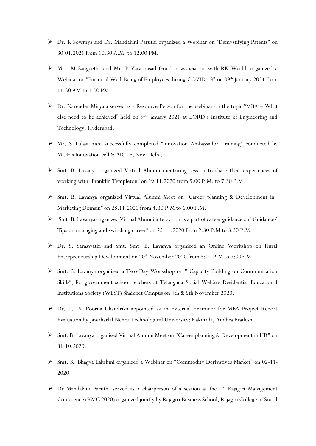- Dr. K Sowmya and Dr. Mandakini Paruthi organized a Webinar on "Demystifying Patents" on 30.01.2021 from 10:30 A.M. to 12:00 PM.
- Mrs. M Sangeetha and Mr. P Varaprasad Goud in association with RK Wealth organized a Webinar on "Financial Well-Being of Employees during COVID-19" on 09<sup>th</sup> January 2021 from 11.30 AM to 1.00 PM.
- $\triangleright$  Dr. Narender Miryala served as a Resource Person for the webinar on the topic "MBA What else need to be achieved" held on  $9<sup>th</sup>$  January 2021 at LORD's Institute of Engineering and Technology, Hyderabad.
- Mr. S Tulasi Ram successfully completed "Innovation Ambassador Training" conducted by MOE's Innovation cell & AICTE, New Delhi.
- Smt. B. Lavanya organized Virtual Alumni mentoring session to share their experiences of working with "Franklin Templeton" on 29.11.2020 from 5:00 P.M. to 7:30 P.M.
- $\triangleright$  [Smt. B. Lavanya](https://www.cbit.ac.in/wp-content/uploads/2019/08/B.Lavanya-Faculty-SMS.pdf) organized Virtual Alumni Meet on "Career planning & Development in Marketing Domain" on 28.11.2020 from 4:30 P.M to 6:00 P.M.
- [Smt. B. Lavanya](https://www.cbit.ac.in/wp-content/uploads/2019/08/B.Lavanya-Faculty-SMS.pdf) organized Virtual Alumni interaction as a part of career guidance on "Guidance/ Tips on managing and switching career" on 25.11.2020 from 2:30 P.M to 3:30 P.M.
- Dr. S. Saraswathi and Smt. Smt. B. Lavanya organized an Online Workshop on Rural Entrepreneurship Development on 20<sup>th</sup> November 2020 from 5:00 P.M to 7:00P.M.
- Smt. B. Lavanya organised a Two-Day Workshop on " Capacity Building on Communication Skills", for government school teachers at Telangana Social Welfare Residential Educational Institutions Society (WEST) Shaikpet Campus on 4th & 5th November 2020.
- Dr. T. S. Poorna Chandrika appointed as an External Examiner for MBA Project Report Evaluation by Jawaharlal Nehru Technological University: Kakinada, Andhra Pradesh.
- Smt. B. Lavanya organised Virtual Alumni Meet on "Career planning & Development in HR" on 31.10.2020.
- Smt. K. Bhagya Lakshmi organized a Webinar on "Commodity Derivatives Market" on 02-11- 2020.
- $\triangleright$  Dr Mandakini Paruthi served as a chairperson of a session at the 1<sup>st</sup> Rajagiri Management Conference (RMC 2020) organized jointly by Rajagiri Business School, Rajagiri College of Social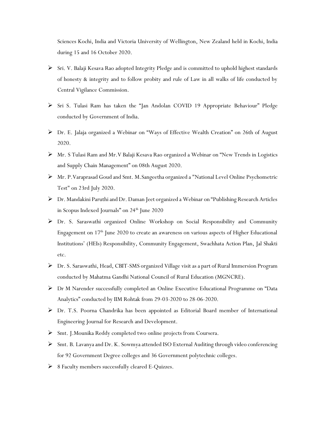Sciences Kochi, India and Victoria University of Wellington, New Zealand held in Kochi, India during 15 and 16 October 2020.

- Sri. V. Balaji Kesava Rao adopted Integrity Pledge and is committed to uphold highest standards of honesty & integrity and to follow probity and rule of Law in all walks of life conducted by Central Vigilance Commission.
- Sri S. Tulasi Ram has taken the "Jan Andolan COVID 19 Appropriate Behaviour" Pledge conducted by Government of India.
- Dr. E. Jalaja organized a Webinar on "Ways of Effective Wealth Creation" on 26th of August 2020.
- Mr. S Tulasi Ram and Mr.V Balaji Kesava Rao organized a Webinar on "New Trends in Logistics and Supply Chain Management" on 08th August 2020.
- Mr. P.Varaprasad Goud and Smt. M.Sangeetha organized a "National Level Online Psychometric Test" on 23rd July 2020.
- Dr. Mandakini Paruthi and Dr. Daman Jeet organized a Webinar on "Publishing Research Articles in Scopus Indexed Journals" on 24<sup>th</sup> June 2020
- Dr. S. Saraswathi organized Online Workshop on Social Responsibility and Community Engagement on 17<sup>th</sup> June 2020 to create an awareness on various aspects of Higher Educational Institutions' (HEIs) Responsibility, Community Engagement, Swachhata Action Plan, Jal Shakti etc.
- Dr. S. Saraswathi, Head, CBIT-SMS organized Village visit as a part of Rural Immersion Program conducted by Mahatma Gandhi National Council of Rural Education (MGNCRE).
- Dr M Narender successfully completed an Online Executive Educational Programme on "Data Analytics" conducted by IIM Rohtak from 29-03-2020 to 28-06-2020.
- Dr. T.S. Poorna Chandrika has been appointed as Editorial Board member of International Engineering Journal for Research and Development.
- Smt. J.Mounika Reddy completed two online projects from Coursera.
- $\triangleright$  Smt. B. Lavanya and Dr. K. Sowmya attended ISO External Auditing through video conferencing for 92 Government Degree colleges and 36 Government polytechnic colleges.
- $\triangleright$  8 Faculty members successfully cleared E-Quizzes.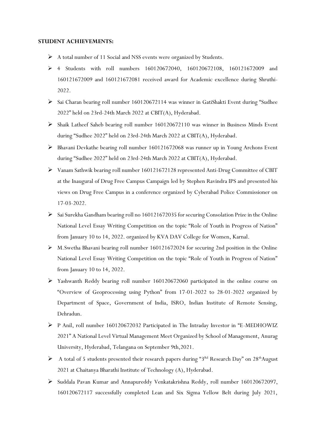## **STUDENT ACHIEVEMENTS:**

- A total number of 11 Social and NSS events were organized by Students.
- 4 Students with roll numbers 160120672040, 160120672108, 160121672009 and 160121672009 and 160121672081 received award for Academic excellence during Shruthi-2022.
- Sai Charan bearing roll number 160120672114 was winner in GatiShakti Event during "Sudhee 2022" held on 23rd-24th March 2022 at CBIT(A), Hyderabad.
- Shaik Latheef Saheb bearing roll number 160120672110 was winner in Business Minds Event during "Sudhee 2022" held on 23rd-24th March 2022 at CBIT(A), Hyderabad.
- Bhavani Devkathe bearing roll number 160121672068 was runner up in Young Archons Event during "Sudhee 2022" held on 23rd-24th March 2022 at CBIT(A), Hyderabad.
- Vanam Sathwik bearing roll number 160121672128 represented Anti-Drug Committee of CBIT at the Inaugural of Drug Free Campus Campaign led by Stephen Ravindra IPS and presented his views on Drug Free Campus in a conference organized by Cyberabad Police Commissioner on 17-03-2022.
- Sai Surekha Gandham bearing roll no 160121672035 for securing Consolation Prize in the Online National Level Essay Writing Competition on the topic "Role of Youth in Progress of Nation" from January 10 to 14, 2022. organized by KVA DAV College for Women, Karnal.
- M.Swetha Bhavani bearing roll number 160121672024 for securing 2nd position in the Online National Level Essay Writing Competition on the topic "Role of Youth in Progress of Nation" from January 10 to 14, 2022.
- Yashwanth Reddy bearing roll number 160120672060 participated in the online course on "Overview of Geoprocessing using Python" from 17-01-2022 to 28-01-2022 organized by Department of Space, Government of India, ISRO, Indian Institute of Remote Sensing, Dehradun.
- P Anil, roll number 160120672032 Participated in The Intraday Investor in "E-MEDHOWIZ 2021" A National Level Virtual Management Meet Organized by School of Management, Anurag University, Hyderabad, Telangana on September 9th,2021.
- A total of 5 students presented their research papers during "3<sup>Rd</sup> Research Day" on 28<sup>th</sup>August 2021 at Chaitanya Bharathi Institute of Technology (A), Hyderabad.
- Suddala Pavan Kumar and Annapureddy Venkatakrishna Reddy, roll number 160120672097, 160120672117 successfully completed Lean and Six Sigma Yellow Belt during July 2021,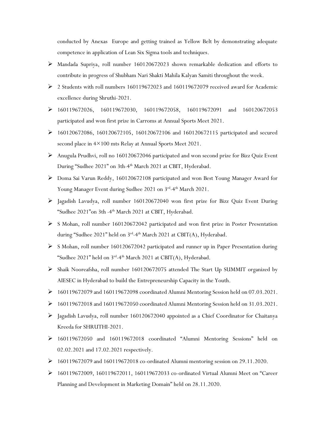conducted by Anexas Europe and getting trained as Yellow Belt by demonstrating adequate competence in application of Lean Six Sigma tools and techniques.

- Mandada Supriya, roll number 160120672023 shown remarkable dedication and efforts to contribute in progress of Shubham Nari Shakti Mahila Kalyan Samiti throughout the week.
- 2 Students with roll numbers 160119672023 and 160119672079 received award for Academic excellence during Shruthi-2021.
- 160119672026, 160119672030, 160119672058, 160119672091 and 160120672053 participated and won first prize in Carroms at Annual Sports Meet 2021.
- 160120672086, 160120672105, 160120672106 and 160120672115 participated and secured second place in 4×100 mts Relay at Annual Sports Meet 2021.
- Anugula Prudhvi, roll no 160120672046 participated and won second prize for Bizz Quiz Event During "Sudhee 2021" on 3th-4 th March 2021 at CBIT, Hyderabad.
- Doma Sai Varun Reddy, 160120672108 participated and won Best Young Manager Award for Young Manager Event during Sudhee 2021 on 3<sup>rd</sup>-4<sup>th</sup> March 2021.
- Jagadish Lavudya, roll number 160120672040 won first prize for Bizz Quiz Event During "Sudhee 2021"on 3th -4 th March 2021 at CBIT, Hyderabad.
- S Mohan, roll number 160120672042 participated and won first prize in Poster Presentation during "Sudhee 2021" held on 3<sup>rd</sup>-4<sup>th</sup> March 2021 at CBIT(A), Hyderabad.
- S Mohan, roll number 160120672042 participated and runner up in Paper Presentation during "Sudhee 2021" held on 3<sup>rd</sup>-4<sup>th</sup> March 2021 at CBIT(A), Hyderabad.
- Shaik Nooreafsha, roll number 160120672075 attended The Start Up SUMMIT organized by AIESEC in Hyderabad to build the Entrepreneurship Capacity in the Youth.
- 160119672079 and 160119672098 coordinated Alumni Mentoring Session held on 07.03.2021.
- 160119672018 and 160119672050 coordinated Alumni Mentoring Session held on 31.03.2021.
- $\triangleright$  Jagadish Lavudya, roll number 160120672040 appointed as a Chief Coordinator for Chaitanya Kreeda for SHRUTHI-2021.
- 160119672050 and 160119672018 coordinated "Alumni Mentoring Sessions" held on 02.02.2021 and 17.02.2021 respectively.
- 160119672079 and 160119672018 co-ordinated Alumni mentoring session on 29.11.2020.
- 160119672009, 160119672011, 160119672033 co-ordinated Virtual Alumni Meet on "Career Planning and Development in Marketing Domain" held on 28.11.2020.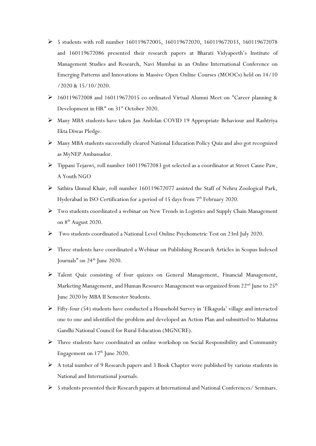- 5 students with roll number 160119672005, 160119672020, 160119672033, 160119672078 and 160119672086 presented their research papers at Bharati Vidyapeeth's Institute of Management Studies and Research, Navi Mumbai in an Online International Conference on Emerging Patterns and Innovations in Massive Open Online Courses (MOOCs) held on 14/10 /2020 & 15/10/2020.
- 160119672008 and 160119672015 co-ordinated Virtual Alumni Meet on "Career planning & Development in HR" on 31<sup>st</sup> October 2020.
- Many MBA students have taken Jan Andolan COVID 19 Appropriate Behaviour and Rashtriya Ekta Diwas Pledge.
- Many MBA students successfully cleared National Education Policy Quiz and also got recognized as MyNEP Ambassador.
- Tippani Tejaswi, roll number 160119672083 got selected as a coordinator at Street Cause Paw, A Youth NGO
- $\triangleright$  Sathira Unmul Khair, roll number 160119672077 assisted the Staff of Nehru Zoological Park, Hyderabad in ISO Certification for a period of 15 days from 7<sup>th</sup> February 2020.
- Two students coordinated a webinar on New Trends in Logistics and Supply Chain Management on 8<sup>th</sup> August 2020.
- Two students coordinated a National Level Online Psychometric Test on 23rd July 2020.
- Three students have coordinated a Webinar on Publishing Research Articles in Scopus Indexed Journals" on 24<sup>th</sup> June 2020.
- Talent Quiz consisting of four quizzes on General Management, Financial Management, Marketing Management, and Human Resource Management was organized from 22<sup>nd</sup> June to 25<sup>th</sup> June 2020 by MBA II Semester Students.
- $\triangleright$  Fifty-four (54) students have conducted a Household Survey in 'Elkaguda' village and interacted one to one and identified the problem and developed an Action Plan and submitted to Mahatma Gandhi National Council for Rural Education (MGNCRE).
- Three students have coordinated an online workshop on Social Responsibility and Community Engagement on  $17<sup>th</sup>$  June 2020.
- $\triangleright$  A total number of 9 Research papers and 3 Book Chapter were published by various students in National and International journals.
- $\triangleright$  5 students presented their Research papers at International and National Conferences/ Seminars.